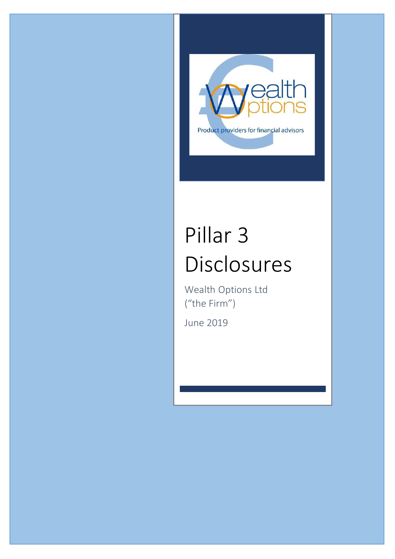

# Pillar 3 Disclosures

Wealth Options Ltd ("the Firm")

June 2019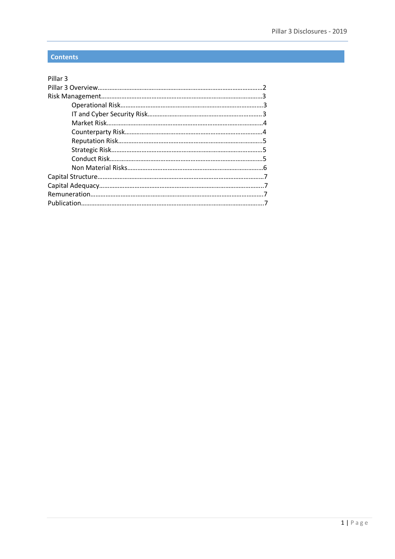## **Contents**

| Pillar <sub>3</sub> |  |
|---------------------|--|
|                     |  |
|                     |  |
|                     |  |
|                     |  |
|                     |  |
|                     |  |
|                     |  |
|                     |  |
|                     |  |
|                     |  |
|                     |  |
|                     |  |
|                     |  |
|                     |  |
|                     |  |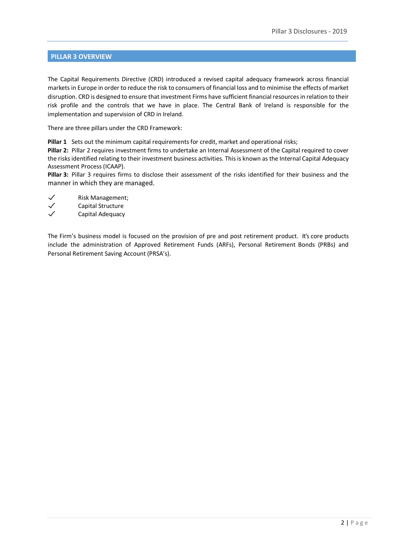## **PILLAR 3 OVERVIEW**

The Capital Requirements Directive (CRD) introduced a revised capital adequacy framework across financial markets in Europe in order to reduce the risk to consumers of financial loss and to minimise the effects of market disruption. CRD is designed to ensure that investment Firms have sufficient financial resources in relation to their risk profile and the controls that we have in place. The Central Bank of Ireland is responsible for the implementation and supervision of CRD in Ireland.

There are three pillars under the CRD Framework:

**Pillar 1** Sets out the minimum capital requirements for credit, market and operational risks;

**Pillar 2:** Pillar 2 requires investment firms to undertake an Internal Assessment of the Capital required to cover the risks identified relating to their investment business activities. This is known as the Internal Capital Adequacy Assessment Process (ICAAP).

**Pillar 3:** Pillar 3 requires firms to disclose their assessment of the risks identified for their business and the manner in which they are managed.

- ✓ Risk Management;
- ✓ Capital Structure
- Capital Adequacy

The Firm's business model is focused on the provision of pre and post retirement product. It's core products include the administration of Approved Retirement Funds (ARFs), Personal Retirement Bonds (PRBs) and Personal Retirement Saving Account (PRSA's).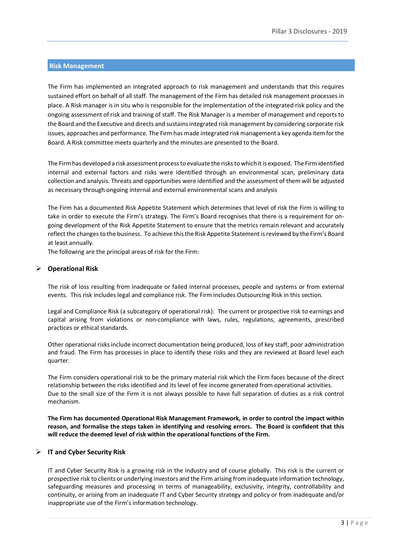## **Risk Management**

The Firm has implemented an integrated approach to risk management and understands that this requires sustained effort on behalf of all staff. The management of the Firm has detailed risk management processes in place. A Risk manager is in situ who is responsible for the implementation of the integrated risk policy and the ongoing assessment of risk and training of staff. The Risk Manager is a member of management and reports to the Board and the Executive and directs and sustains integrated risk management by considering corporate risk issues, approaches and performance. The Firm has made integrated riskmanagement a key agenda item for the Board. A Risk committee meets quarterly and the minutes are presented to the Board.

The Firm has developed a risk assessment process to evaluate the risks to which it is exposed. The Firm identified internal and external factors and risks were identified through an environmental scan, preliminary data collection and analysis. Threats and opportunities were identified and the assessment of them will be adjusted as necessary through ongoing internal and external environmental scans and analysis

The Firm has a documented Risk Appetite Statement which determines that level of risk the Firm is willing to take in order to execute the Firm's strategy. The Firm's Board recognises that there is a requirement for ongoing development of the Risk Appetite Statement to ensure that the metrics remain relevant and accurately reflect the changes to the business. To achieve this the Risk Appetite Statement is reviewed by the Firm's Board at least annually.

The following are the principal areas of risk for the Firm:

## **Operational Risk**

The risk of loss resulting from inadequate or failed internal processes, people and systems or from external events. This risk includes legal and compliance risk. The Firm includes Outsourcing Risk in this section.

Legal and Compliance Risk (a subcategory of operational risk): The current or prospective risk to earnings and capital arising from violations or non-compliance with laws, rules, regulations, agreements, prescribed practices or ethical standards.

Other operational risks include incorrect documentation being produced, loss of key staff, poor administration and fraud. The Firm has processes in place to identify these risks and they are reviewed at Board level each quarter.

The Firm considers operational risk to be the primary material risk which the Firm faces because of the direct relationship between the risks identified and its level of fee income generated from operational activities. Due to the small size of the Firm it is not always possible to have full separation of duties as a risk control mechanism.

**The Firm has documented Operational Risk Management Framework, in order to control the impact within reason, and formalise the steps taken in identifying and resolving errors. The Board is confident that this will reduce the deemed level of risk within the operational functions of the Firm.**

## **IT and Cyber Security Risk**

IT and Cyber Security Risk is a growing risk in the industry and of course globally. This risk is the current or prospective risk to clients or underlying investors and the Firm arising from inadequate information technology, safeguarding measures and processing in terms of manageability, exclusivity, integrity, controllability and continuity, or arising from an inadequate IT and Cyber Security strategy and policy or from inadequate and/or inappropriate use of the Firm's information technology.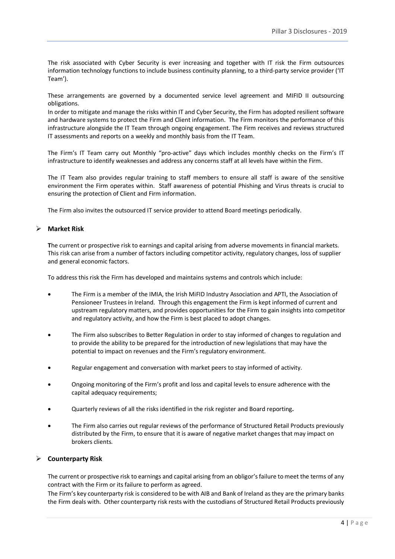The risk associated with Cyber Security is ever increasing and together with IT risk the Firm outsources information technology functions to include business continuity planning, to a third-party service provider ('IT Team').

These arrangements are governed by a documented service level agreement and MIFID II outsourcing obligations.

In order to mitigate and manage the risks within IT and Cyber Security, the Firm has adopted resilient software and hardware systems to protect the Firm and Client information. The Firm monitors the performance of this infrastructure alongside the IT Team through ongoing engagement. The Firm receives and reviews structured IT assessments and reports on a weekly and monthly basis from the IT Team.

The Firm's IT Team carry out Monthly "pro-active" days which includes monthly checks on the Firm's IT infrastructure to identify weaknesses and address any concerns staff at all levels have within the Firm.

The IT Team also provides regular training to staff members to ensure all staff is aware of the sensitive environment the Firm operates within. Staff awareness of potential Phishing and Virus threats is crucial to ensuring the protection of Client and Firm information.

The Firm also invites the outsourced IT service provider to attend Board meetings periodically.

## **Market Risk**

**T**he current or prospective risk to earnings and capital arising from adverse movements in financial markets. This risk can arise from a number of factors including competitor activity, regulatory changes, loss of supplier and general economic factors.

To address this risk the Firm has developed and maintains systems and controls which include:

- The Firm is a member of the IMIA, the Irish MiFID Industry Association and APTI, the Association of Pensioneer Trustees in Ireland. Through this engagement the Firm is kept informed of current and upstream regulatory matters, and provides opportunities for the Firm to gain insights into competitor and regulatory activity, and how the Firm is best placed to adopt changes.
- The Firm also subscribes to Better Regulation in order to stay informed of changes to regulation and to provide the ability to be prepared for the introduction of new legislations that may have the potential to impact on revenues and the Firm's regulatory environment.
- Regular engagement and conversation with market peers to stay informed of activity.
- Ongoing monitoring of the Firm's profit and loss and capital levels to ensure adherence with the capital adequacy requirements;
- Quarterly reviews of all the risks identified in the risk register and Board reporting**.**
- The Firm also carries out regular reviews of the performance of Structured Retail Products previously distributed by the Firm, to ensure that it is aware of negative market changes that may impact on brokers clients.

## **Counterparty Risk**

The current or prospective risk to earnings and capital arising from an obligor's failure to meet the terms of any contract with the Firm or its failure to perform as agreed.

The Firm's key counterparty risk is considered to be with AIB and Bank of Ireland as they are the primary banks the Firm deals with. Other counterparty risk rests with the custodians of Structured Retail Products previously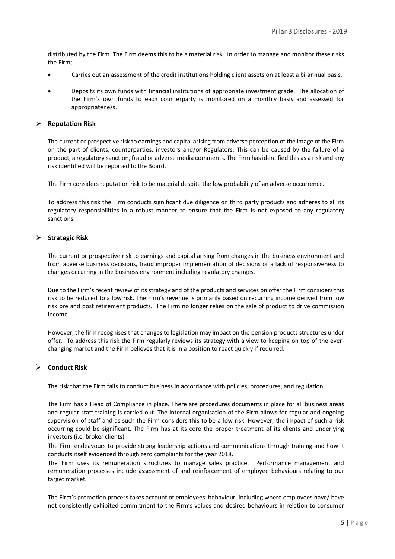distributed by the Firm. The Firm deems this to be a material risk. In order to manage and monitor these risks the Firm;

- Carries out an assessment of the credit institutions holding client assets on at least a bi-annual basis.
- Deposits its own funds with financial institutions of appropriate investment grade. The allocation of the Firm's own funds to each counterparty is monitored on a monthly basis and assessed for appropriateness.

## **Reputation Risk**

The current or prospective risk to earnings and capital arising from adverse perception of the image of the Firm on the part of clients, counterparties, investors and/or Regulators. This can be caused by the failure of a product, a regulatory sanction, fraud or adverse media comments. The Firm has identified this as a risk and any risk identified will be reported to the Board.

The Firm considers reputation risk to be material despite the low probability of an adverse occurrence.

To address this risk the Firm conducts significant due diligence on third party products and adheres to all its regulatory responsibilities in a robust manner to ensure that the Firm is not exposed to any regulatory sanctions.

## **Strategic Risk**

The current or prospective risk to earnings and capital arising from changes in the business environment and from adverse business decisions, fraud improper implementation of decisions or a lack of responsiveness to changes occurring in the business environment including regulatory changes.

Due to the Firm's recent review of its strategy and of the products and services on offer the Firm considers this risk to be reduced to a low risk. The Firm's revenue is primarily based on recurring income derived from low risk pre and post retirement products. The Firm no longer relies on the sale of product to drive commission income.

However, the firm recognises that changes to legislation may impact on the pension products structures under offer. To address this risk the Firm regularly reviews its strategy with a view to keeping on top of the everchanging market and the Firm believes that it is in a position to react quickly if required.

## **Conduct Risk**

The risk that the Firm fails to conduct business in accordance with policies, procedures, and regulation.

The Firm has a Head of Compliance in place. There are procedures documents in place for all business areas and regular staff training is carried out. The internal organisation of the Firm allows for regular and ongoing supervision of staff and as such the Firm considers this to be a low risk. However, the impact of such a risk occurring could be significant. The Firm has at its core the proper treatment of its clients and underlying investors (i.e. broker clients)

The Firm endeavours to provide strong leadership actions and communications through training and how it conducts itself evidenced through zero complaints for the year 2018.

The Firm uses its remuneration structures to manage sales practice. Performance management and remuneration processes include assessment of and reinforcement of employee behaviours relating to our target market.

The Firm's promotion process takes account of employees' behaviour, including where employees have/ have not consistently exhibited commitment to the Firm's values and desired behaviours in relation to consumer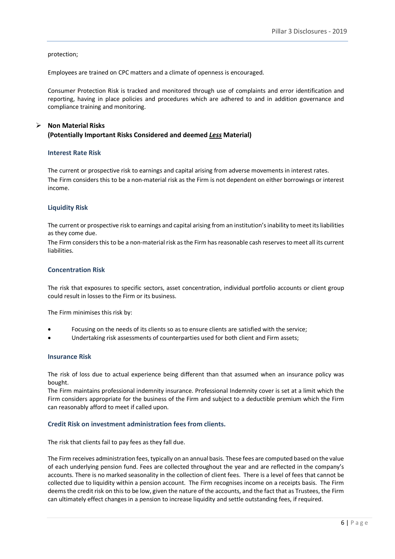protection;

Employees are trained on CPC matters and a climate of openness is encouraged.

Consumer Protection Risk is tracked and monitored through use of complaints and error identification and reporting, having in place policies and procedures which are adhered to and in addition governance and compliance training and monitoring.

## **Non Material Risks (Potentially Important Risks Considered and deemed** *Less* **Material)**

#### **Interest Rate Risk**

The current or prospective risk to earnings and capital arising from adverse movements in interest rates. The Firm considers this to be a non-material risk as the Firm is not dependent on either borrowings or interest income.

## **Liquidity Risk**

The current or prospective risk to earnings and capital arising from an institution's inability to meet its liabilities as they come due.

The Firm considers this to be a non-material risk as the Firm has reasonable cash reserves to meet all its current liabilities.

#### **Concentration Risk**

The risk that exposures to specific sectors, asset concentration, individual portfolio accounts or client group could result in losses to the Firm or its business.

The Firm minimises this risk by:

- Focusing on the needs of its clients so as to ensure clients are satisfied with the service;
- Undertaking risk assessments of counterparties used for both client and Firm assets;

#### **Insurance Risk**

The risk of loss due to actual experience being different than that assumed when an insurance policy was bought.

The Firm maintains professional indemnity insurance. Professional Indemnity cover is set at a limit which the Firm considers appropriate for the business of the Firm and subject to a deductible premium which the Firm can reasonably afford to meet if called upon.

## **Credit Risk on investment administration fees from clients.**

The risk that clients fail to pay fees as they fall due.

The Firm receives administration fees, typically on an annual basis. These fees are computed based on the value of each underlying pension fund. Fees are collected throughout the year and are reflected in the company's accounts. There is no marked seasonality in the collection of client fees. There is a level of fees that cannot be collected due to liquidity within a pension account. The Firm recognises income on a receipts basis. The Firm deems the credit risk on this to be low, given the nature of the accounts, and the fact that as Trustees, the Firm can ultimately effect changes in a pension to increase liquidity and settle outstanding fees, if required.